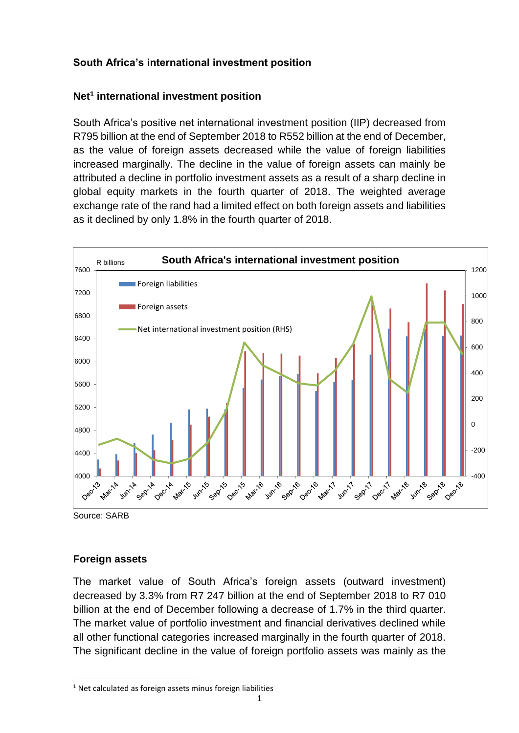# **South Africa's international investment position**

# **Net<sup>1</sup> international investment position**

South Africa's positive net international investment position (IIP) decreased from R795 billion at the end of September 2018 to R552 billion at the end of December, as the value of foreign assets decreased while the value of foreign liabilities increased marginally. The decline in the value of foreign assets can mainly be attributed a decline in portfolio investment assets as a result of a sharp decline in global equity markets in the fourth quarter of 2018. The weighted average exchange rate of the rand had a limited effect on both foreign assets and liabilities as it declined by only 1.8% in the fourth quarter of 2018.



Source: SARB

 $\overline{\phantom{a}}$ 

### **Foreign assets**

The market value of South Africa's foreign assets (outward investment) decreased by 3.3% from R7 247 billion at the end of September 2018 to R7 010 billion at the end of December following a decrease of 1.7% in the third quarter. The market value of portfolio investment and financial derivatives declined while all other functional categories increased marginally in the fourth quarter of 2018. The significant decline in the value of foreign portfolio assets was mainly as the

 $1$  Net calculated as foreign assets minus foreign liabilities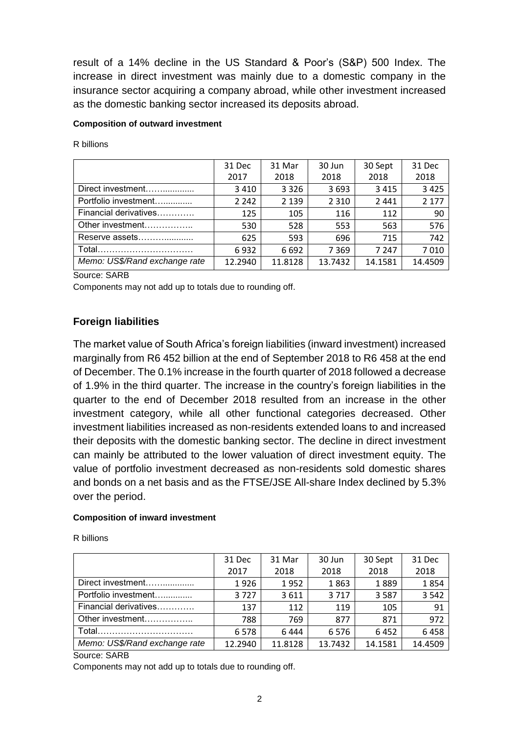result of a 14% decline in the US Standard & Poor's (S&P) 500 Index. The increase in direct investment was mainly due to a domestic company in the insurance sector acquiring a company abroad, while other investment increased as the domestic banking sector increased its deposits abroad.

#### **Composition of outward investment**

R billions

|                               | 31 Dec  | 31 Mar  | 30 Jun  | 30 Sept | 31 Dec  |
|-------------------------------|---------|---------|---------|---------|---------|
|                               | 2017    | 2018    | 2018    | 2018    | 2018    |
| Direct investment             | 3 4 1 0 | 3 3 2 6 | 3693    | 3415    | 3 4 2 5 |
| Portfolio investment          | 2 2 4 2 | 2 1 3 9 | 2 3 1 0 | 2441    | 2 1 7 7 |
| Financial derivatives         | 125     | 105     | 116     | 112     | 90      |
| Other investment              | 530     | 528     | 553     | 563     | 576     |
| Reserve assets                | 625     | 593     | 696     | 715     | 742     |
| Total                         | 6932    | 6692    | 7 3 6 9 | 7 247   | 7010    |
| Memo: US\$/Rand exchange rate | 12.2940 | 11.8128 | 13.7432 | 14.1581 | 14.4509 |

Source: SARB

Components may not add up to totals due to rounding off.

### **Foreign liabilities**

The market value of South Africa's foreign liabilities (inward investment) increased marginally from R6 452 billion at the end of September 2018 to R6 458 at the end of December. The 0.1% increase in the fourth quarter of 2018 followed a decrease of 1.9% in the third quarter. The increase in the country's foreign liabilities in the quarter to the end of December 2018 resulted from an increase in the other investment category, while all other functional categories decreased. Other investment liabilities increased as non-residents extended loans to and increased their deposits with the domestic banking sector. The decline in direct investment can mainly be attributed to the lower valuation of direct investment equity. The value of portfolio investment decreased as non-residents sold domestic shares and bonds on a net basis and as the FTSE/JSE All-share Index declined by 5.3% over the period.

### **Composition of inward investment**

| R billions |  |
|------------|--|
|------------|--|

|                               | 31 Dec  | 31 Mar  | 30 Jun  | 30 Sept | 31 Dec  |
|-------------------------------|---------|---------|---------|---------|---------|
|                               | 2017    | 2018    | 2018    | 2018    | 2018    |
| Direct investment             | 1926    | 1952    | 1863    | 1889    | 1854    |
| Portfolio investment          | 3727    | 3611    | 3717    | 3587    | 3 5 4 2 |
| Financial derivatives         | 137     | 112     | 119     | 105     | 91      |
| Other investment              | 788     | 769     | 877     | 871     | 972     |
| Total                         | 6578    | 6444    | 6576    | 6452    | 6458    |
| Memo: US\$/Rand exchange rate | 12.2940 | 11.8128 | 13.7432 | 14.1581 | 14.4509 |

Source: SARB

Components may not add up to totals due to rounding off.